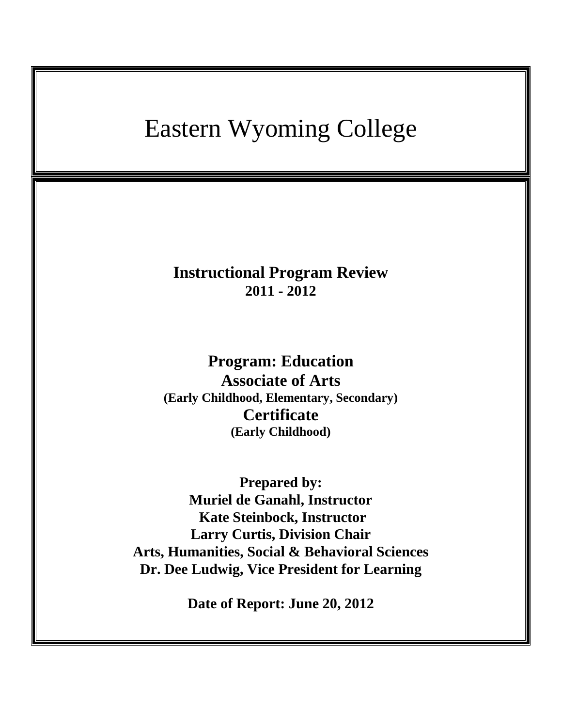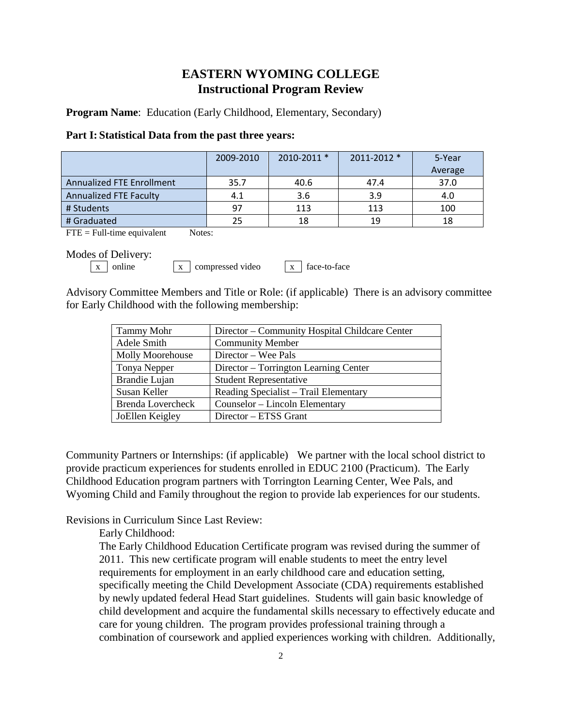# **EASTERN WYOMING COLLEGE Instructional Program Review**

**Program Name:** Education (Early Childhood, Elementary, Secondary)

### **Part I: Statistical Data from the past three years:**

|                                  | 2009-2010 | $2010 - 2011$ * | $2011 - 2012$ * | 5-Year  |
|----------------------------------|-----------|-----------------|-----------------|---------|
|                                  |           |                 |                 | Average |
| <b>Annualized FTE Enrollment</b> | 35.7      | 40.6            | 47.4            | 37.0    |
| <b>Annualized FTE Faculty</b>    | 4.1       | 3.6             | 3.9             | 4.0     |
| # Students                       | 97        | 113             | 113             | 100     |
| # Graduated                      | 25        | 18              | 19              | 18      |

 $\text{FTE} = \text{Full-time equivalent}$  Notes:

Modes of Delivery:

 $\boxed{x}$  online  $\boxed{x}$  compressed video  $\boxed{x}$  face-to-face

Advisory Committee Members and Title or Role: (if applicable) There is an advisory committee for Early Childhood with the following membership:

| <b>Tammy Mohr</b>        | Director - Community Hospital Childcare Center |
|--------------------------|------------------------------------------------|
| Adele Smith              | <b>Community Member</b>                        |
| <b>Molly Moorehouse</b>  | Director – Wee Pals                            |
| Tonya Nepper             | Director – Torrington Learning Center          |
| Brandie Lujan            | <b>Student Representative</b>                  |
| Susan Keller             | Reading Specialist – Trail Elementary          |
| <b>Brenda Lovercheck</b> | Counselor - Lincoln Elementary                 |
| JoEllen Keigley          | Director – ETSS Grant                          |

Community Partners or Internships: (if applicable) We partner with the local school district to provide practicum experiences for students enrolled in EDUC 2100 (Practicum). The Early Childhood Education program partners with Torrington Learning Center, Wee Pals, and Wyoming Child and Family throughout the region to provide lab experiences for our students.

Revisions in Curriculum Since Last Review:

Early Childhood:

The Early Childhood Education Certificate program was revised during the summer of 2011. This new certificate program will enable students to meet the entry level requirements for employment in an early childhood care and education setting, specifically meeting the Child Development Associate (CDA) requirements established by newly updated federal Head Start guidelines. Students will gain basic knowledge of child development and acquire the fundamental skills necessary to effectively educate and care for young children. The program provides professional training through a combination of coursework and applied experiences working with children. Additionally,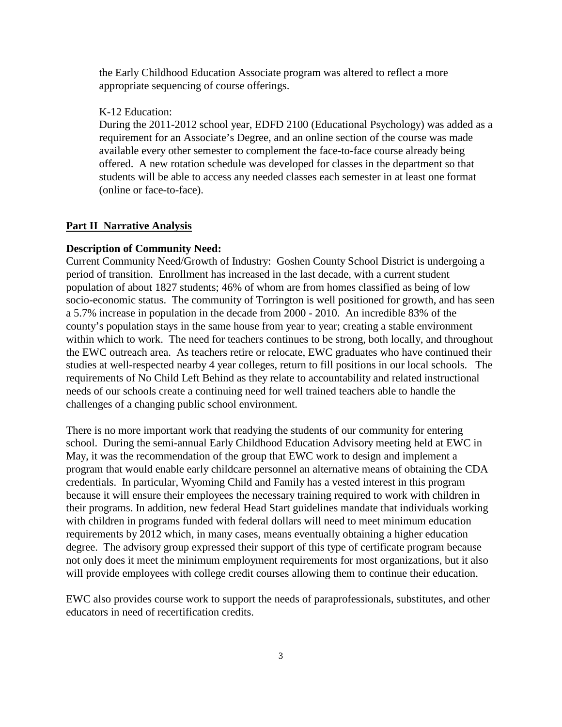the Early Childhood Education Associate program was altered to reflect a more appropriate sequencing of course offerings.

K-12 Education:

During the 2011-2012 school year, EDFD 2100 (Educational Psychology) was added as a requirement for an Associate's Degree, and an online section of the course was made available every other semester to complement the face-to-face course already being offered. A new rotation schedule was developed for classes in the department so that students will be able to access any needed classes each semester in at least one format (online or face-to-face).

#### **Part II Narrative Analysis**

### **Description of Community Need:**

Current Community Need/Growth of Industry: Goshen County School District is undergoing a period of transition. Enrollment has increased in the last decade, with a current student population of about 1827 students; 46% of whom are from homes classified as being of low socio-economic status. The community of Torrington is well positioned for growth, and has seen a 5.7% increase in population in the decade from 2000 - 2010. An incredible 83% of the county's population stays in the same house from year to year; creating a stable environment within which to work. The need for teachers continues to be strong, both locally, and throughout the EWC outreach area. As teachers retire or relocate, EWC graduates who have continued their studies at well-respected nearby 4 year colleges, return to fill positions in our local schools. The requirements of No Child Left Behind as they relate to accountability and related instructional needs of our schools create a continuing need for well trained teachers able to handle the challenges of a changing public school environment.

There is no more important work that readying the students of our community for entering school. During the semi-annual Early Childhood Education Advisory meeting held at EWC in May, it was the recommendation of the group that EWC work to design and implement a program that would enable early childcare personnel an alternative means of obtaining the CDA credentials. In particular, Wyoming Child and Family has a vested interest in this program because it will ensure their employees the necessary training required to work with children in their programs. In addition, new federal Head Start guidelines mandate that individuals working with children in programs funded with federal dollars will need to meet minimum education requirements by 2012 which, in many cases, means eventually obtaining a higher education degree. The advisory group expressed their support of this type of certificate program because not only does it meet the minimum employment requirements for most organizations, but it also will provide employees with college credit courses allowing them to continue their education.

EWC also provides course work to support the needs of paraprofessionals, substitutes, and other educators in need of recertification credits.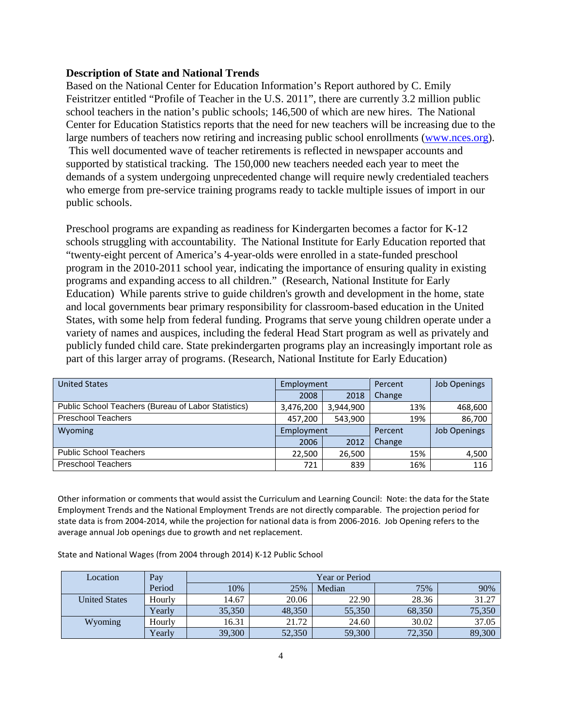## **Description of State and National Trends**

Based on the National Center for Education Information's Report authored by C. Emily Feistritzer entitled "Profile of Teacher in the U.S. 2011", there are currently 3.2 million public school teachers in the nation's public schools; 146,500 of which are new hires. The National Center for Education Statistics reports that the need for new teachers will be increasing due to the large numbers of teachers now retiring and increasing public school enrollments [\(www.nces.org\)](http://www.nces.org/). This well documented wave of teacher retirements is reflected in newspaper accounts and supported by statistical tracking. The 150,000 new teachers needed each year to meet the demands of a system undergoing unprecedented change will require newly credentialed teachers who emerge from pre-service training programs ready to tackle multiple issues of import in our public schools.

Preschool programs are expanding as readiness for Kindergarten becomes a factor for K-12 schools struggling with accountability. The National Institute for Early Education reported that "twenty-eight percent of America's 4-year-olds were enrolled in a state-funded preschool program in the 2010-2011 school year, indicating the importance of ensuring quality in existing programs and expanding access to all children." (Research, National Institute for Early Education) While parents strive to guide children's growth and development in the home, state and local governments bear primary responsibility for classroom-based education in the United States, with some help from federal funding. Programs that serve young children operate under a variety of names and auspices, including the federal Head Start program as well as privately and publicly funded child care. State prekindergarten programs play an increasingly important role as part of this larger array of programs. (Research, National Institute for Early Education)

| <b>United States</b>                                | Employment |           | Percent |     | <b>Job Openings</b> |
|-----------------------------------------------------|------------|-----------|---------|-----|---------------------|
|                                                     | 2008       | 2018      | Change  |     |                     |
| Public School Teachers (Bureau of Labor Statistics) | 3,476,200  | 3,944,900 |         | 13% | 468,600             |
| <b>Preschool Teachers</b>                           | 457,200    | 543,900   |         | 19% | 86,700              |
| Wyoming                                             | Employment |           | Percent |     | <b>Job Openings</b> |
|                                                     | 2006       | 2012      | Change  |     |                     |
| <b>Public School Teachers</b>                       | 22,500     | 26,500    |         | 15% | 4,500               |
| <b>Preschool Teachers</b>                           | 721        | 839       |         | 16% | 116                 |

Other information or comments that would assist the Curriculum and Learning Council: Note: the data for the State Employment Trends and the National Employment Trends are not directly comparable. The projection period for state data is from 2004-2014, while the projection for national data is from 2006-2016. Job Opening refers to the average annual Job openings due to growth and net replacement.

State and National Wages (from 2004 through 2014) K-12 Public School

| Location             | Pay    | Year or Period |        |        |        |        |
|----------------------|--------|----------------|--------|--------|--------|--------|
|                      | Period | 10%            | 25%    | Median | 75%    | 90%    |
| <b>United States</b> | Hourly | 14.67          | 20.06  | 22.90  | 28.36  | 31.27  |
|                      | Yearly | 35,350         | 48,350 | 55,350 | 68,350 | 75,350 |
| Wyoming              | Hourly | 16.31          | 21.72  | 24.60  | 30.02  | 37.05  |
|                      | Yearly | 39,300         | 52,350 | 59,300 | 72,350 | 89,300 |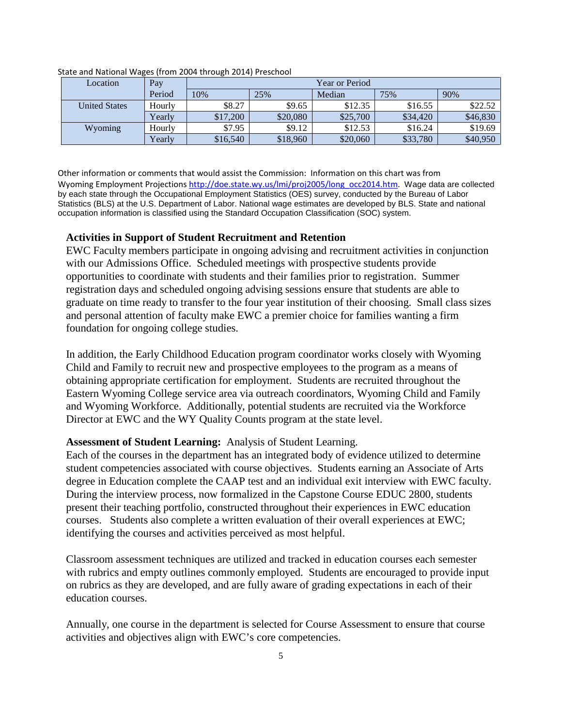| Location             | Pay    | Year or Period |          |          |          |          |
|----------------------|--------|----------------|----------|----------|----------|----------|
|                      | Period | 10%            | 25%      | Median   | 75%      | 90%      |
| <b>United States</b> | Hourly | \$8.27         | \$9.65   | \$12.35  | \$16.55  | \$22.52  |
|                      | Yearly | \$17,200       | \$20,080 | \$25,700 | \$34,420 | \$46,830 |
| Wyoming              | Hourly | \$7.95         | \$9.12   | \$12.53  | \$16.24  | \$19.69  |
|                      | Yearly | \$16,540       | \$18,960 | \$20,060 | \$33,780 | \$40,950 |

State and National Wages (from 2004 through 2014) Preschool

Other information or comments that would assist the Commission: Information on this chart was from Wyoming Employment Projections [http://doe.state.wy.us/lmi/proj2005/long\\_occ2014.htm.](http://doe.state.wy.us/lmi/proj2005/long_occ2014.htm) Wage data are collected by each state through the Occupational Employment Statistics (OES) survey, conducted by the Bureau of Labor Statistics (BLS) at the U.S. Department of Labor. National wage estimates are developed by BLS. State and national occupation information is classified using the Standard Occupation Classification (SOC) system.

# **Activities in Support of Student Recruitment and Retention**

EWC Faculty members participate in ongoing advising and recruitment activities in conjunction with our Admissions Office. Scheduled meetings with prospective students provide opportunities to coordinate with students and their families prior to registration. Summer registration days and scheduled ongoing advising sessions ensure that students are able to graduate on time ready to transfer to the four year institution of their choosing. Small class sizes and personal attention of faculty make EWC a premier choice for families wanting a firm foundation for ongoing college studies.

In addition, the Early Childhood Education program coordinator works closely with Wyoming Child and Family to recruit new and prospective employees to the program as a means of obtaining appropriate certification for employment. Students are recruited throughout the Eastern Wyoming College service area via outreach coordinators, Wyoming Child and Family and Wyoming Workforce. Additionally, potential students are recruited via the Workforce Director at EWC and the WY Quality Counts program at the state level.

# **Assessment of Student Learning:** Analysis of Student Learning.

Each of the courses in the department has an integrated body of evidence utilized to determine student competencies associated with course objectives. Students earning an Associate of Arts degree in Education complete the CAAP test and an individual exit interview with EWC faculty. During the interview process, now formalized in the Capstone Course EDUC 2800, students present their teaching portfolio, constructed throughout their experiences in EWC education courses. Students also complete a written evaluation of their overall experiences at EWC; identifying the courses and activities perceived as most helpful.

Classroom assessment techniques are utilized and tracked in education courses each semester with rubrics and empty outlines commonly employed. Students are encouraged to provide input on rubrics as they are developed, and are fully aware of grading expectations in each of their education courses.

Annually, one course in the department is selected for Course Assessment to ensure that course activities and objectives align with EWC's core competencies.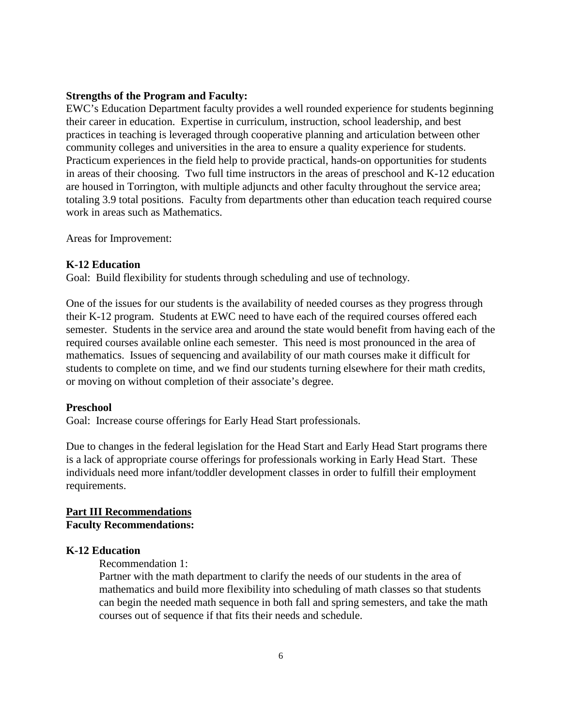# **Strengths of the Program and Faculty:**

EWC's Education Department faculty provides a well rounded experience for students beginning their career in education. Expertise in curriculum, instruction, school leadership, and best practices in teaching is leveraged through cooperative planning and articulation between other community colleges and universities in the area to ensure a quality experience for students. Practicum experiences in the field help to provide practical, hands-on opportunities for students in areas of their choosing. Two full time instructors in the areas of preschool and K-12 education are housed in Torrington, with multiple adjuncts and other faculty throughout the service area; totaling 3.9 total positions. Faculty from departments other than education teach required course work in areas such as Mathematics.

Areas for Improvement:

### **K-12 Education**

Goal: Build flexibility for students through scheduling and use of technology.

One of the issues for our students is the availability of needed courses as they progress through their K-12 program. Students at EWC need to have each of the required courses offered each semester. Students in the service area and around the state would benefit from having each of the required courses available online each semester. This need is most pronounced in the area of mathematics. Issues of sequencing and availability of our math courses make it difficult for students to complete on time, and we find our students turning elsewhere for their math credits, or moving on without completion of their associate's degree.

#### **Preschool**

Goal: Increase course offerings for Early Head Start professionals.

Due to changes in the federal legislation for the Head Start and Early Head Start programs there is a lack of appropriate course offerings for professionals working in Early Head Start. These individuals need more infant/toddler development classes in order to fulfill their employment requirements.

# **Part III Recommendations Faculty Recommendations:**

# **K-12 Education**

Recommendation 1:

Partner with the math department to clarify the needs of our students in the area of mathematics and build more flexibility into scheduling of math classes so that students can begin the needed math sequence in both fall and spring semesters, and take the math courses out of sequence if that fits their needs and schedule.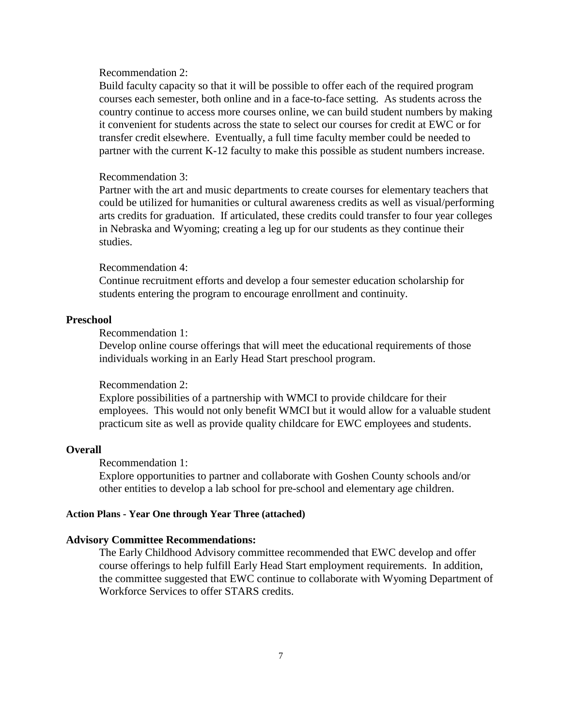### Recommendation 2:

Build faculty capacity so that it will be possible to offer each of the required program courses each semester, both online and in a face-to-face setting. As students across the country continue to access more courses online, we can build student numbers by making it convenient for students across the state to select our courses for credit at EWC or for transfer credit elsewhere. Eventually, a full time faculty member could be needed to partner with the current K-12 faculty to make this possible as student numbers increase.

#### Recommendation 3:

Partner with the art and music departments to create courses for elementary teachers that could be utilized for humanities or cultural awareness credits as well as visual/performing arts credits for graduation. If articulated, these credits could transfer to four year colleges in Nebraska and Wyoming; creating a leg up for our students as they continue their studies.

### Recommendation 4:

Continue recruitment efforts and develop a four semester education scholarship for students entering the program to encourage enrollment and continuity.

# **Preschool**

# Recommendation 1:

Develop online course offerings that will meet the educational requirements of those individuals working in an Early Head Start preschool program.

#### Recommendation 2:

Explore possibilities of a partnership with WMCI to provide childcare for their employees. This would not only benefit WMCI but it would allow for a valuable student practicum site as well as provide quality childcare for EWC employees and students.

# **Overall**

#### Recommendation 1:

Explore opportunities to partner and collaborate with Goshen County schools and/or other entities to develop a lab school for pre-school and elementary age children.

## **Action Plans - Year One through Year Three (attached)**

#### **Advisory Committee Recommendations:**

The Early Childhood Advisory committee recommended that EWC develop and offer course offerings to help fulfill Early Head Start employment requirements. In addition, the committee suggested that EWC continue to collaborate with Wyoming Department of Workforce Services to offer STARS credits.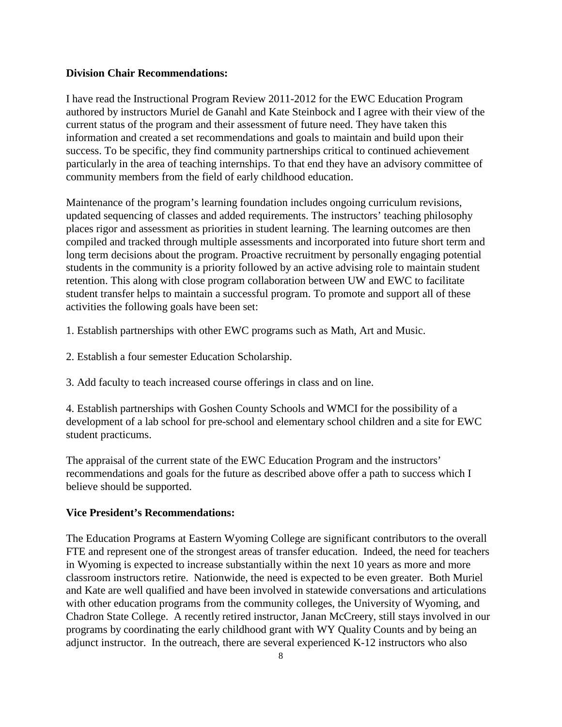# **Division Chair Recommendations:**

I have read the Instructional Program Review 2011-2012 for the EWC Education Program authored by instructors Muriel de Ganahl and Kate Steinbock and I agree with their view of the current status of the program and their assessment of future need. They have taken this information and created a set recommendations and goals to maintain and build upon their success. To be specific, they find community partnerships critical to continued achievement particularly in the area of teaching internships. To that end they have an advisory committee of community members from the field of early childhood education.

Maintenance of the program's learning foundation includes ongoing curriculum revisions, updated sequencing of classes and added requirements. The instructors' teaching philosophy places rigor and assessment as priorities in student learning. The learning outcomes are then compiled and tracked through multiple assessments and incorporated into future short term and long term decisions about the program. Proactive recruitment by personally engaging potential students in the community is a priority followed by an active advising role to maintain student retention. This along with close program collaboration between UW and EWC to facilitate student transfer helps to maintain a successful program. To promote and support all of these activities the following goals have been set:

1. Establish partnerships with other EWC programs such as Math, Art and Music.

- 2. Establish a four semester Education Scholarship.
- 3. Add faculty to teach increased course offerings in class and on line.

4. Establish partnerships with Goshen County Schools and WMCI for the possibility of a development of a lab school for pre-school and elementary school children and a site for EWC student practicums.

The appraisal of the current state of the EWC Education Program and the instructors' recommendations and goals for the future as described above offer a path to success which I believe should be supported.

# **Vice President's Recommendations:**

The Education Programs at Eastern Wyoming College are significant contributors to the overall FTE and represent one of the strongest areas of transfer education. Indeed, the need for teachers in Wyoming is expected to increase substantially within the next 10 years as more and more classroom instructors retire. Nationwide, the need is expected to be even greater. Both Muriel and Kate are well qualified and have been involved in statewide conversations and articulations with other education programs from the community colleges, the University of Wyoming, and Chadron State College. A recently retired instructor, Janan McCreery, still stays involved in our programs by coordinating the early childhood grant with WY Quality Counts and by being an adjunct instructor. In the outreach, there are several experienced K-12 instructors who also